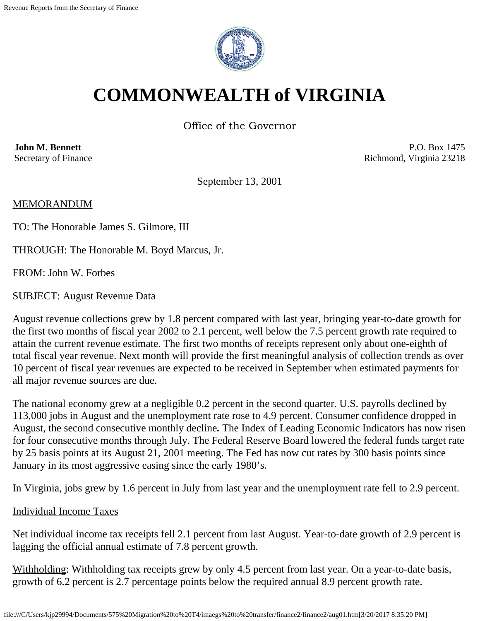

# **COMMONWEALTH of VIRGINIA**

Office of the Governor

**John M. Bennett** Secretary of Finance

P.O. Box 1475 Richmond, Virginia 23218

September 13, 2001

MEMORANDUM

TO: The Honorable James S. Gilmore, III

THROUGH: The Honorable M. Boyd Marcus, Jr.

FROM: John W. Forbes

SUBJECT: August Revenue Data

August revenue collections grew by 1.8 percent compared with last year, bringing year-to-date growth for the first two months of fiscal year 2002 to 2.1 percent, well below the 7.5 percent growth rate required to attain the current revenue estimate. The first two months of receipts represent only about one-eighth of total fiscal year revenue. Next month will provide the first meaningful analysis of collection trends as over 10 percent of fiscal year revenues are expected to be received in September when estimated payments for all major revenue sources are due.

The national economy grew at a negligible 0.2 percent in the second quarter. U.S. payrolls declined by 113,000 jobs in August and the unemployment rate rose to 4.9 percent. Consumer confidence dropped in August, the second consecutive monthly decline*.* The Index of Leading Economic Indicators has now risen for four consecutive months through July. The Federal Reserve Board lowered the federal funds target rate by 25 basis points at its August 21, 2001 meeting. The Fed has now cut rates by 300 basis points since January in its most aggressive easing since the early 1980's.

In Virginia, jobs grew by 1.6 percent in July from last year and the unemployment rate fell to 2.9 percent.

#### Individual Income Taxes

Net individual income tax receipts fell 2.1 percent from last August. Year-to-date growth of 2.9 percent is lagging the official annual estimate of 7.8 percent growth.

Withholding: Withholding tax receipts grew by only 4.5 percent from last year. On a year-to-date basis, growth of 6.2 percent is 2.7 percentage points below the required annual 8.9 percent growth rate.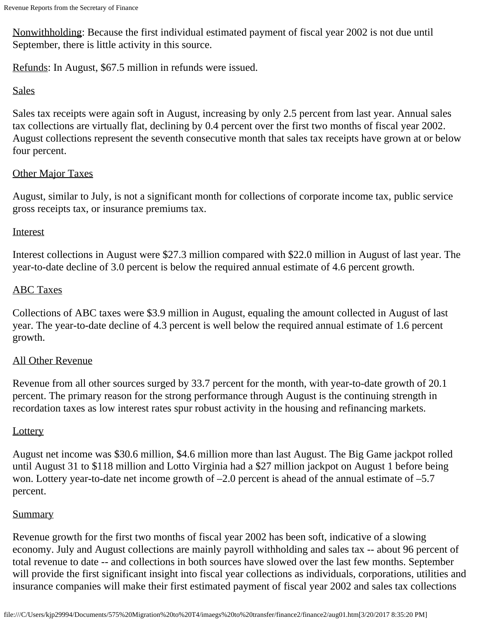Nonwithholding: Because the first individual estimated payment of fiscal year 2002 is not due until September, there is little activity in this source.

Refunds: In August, \$67.5 million in refunds were issued.

### **Sales**

Sales tax receipts were again soft in August, increasing by only 2.5 percent from last year. Annual sales tax collections are virtually flat, declining by 0.4 percent over the first two months of fiscal year 2002. August collections represent the seventh consecutive month that sales tax receipts have grown at or below four percent.

# Other Major Taxes

August, similar to July, is not a significant month for collections of corporate income tax, public service gross receipts tax, or insurance premiums tax.

### **Interest**

Interest collections in August were \$27.3 million compared with \$22.0 million in August of last year. The year-to-date decline of 3.0 percent is below the required annual estimate of 4.6 percent growth.

# ABC Taxes

Collections of ABC taxes were \$3.9 million in August, equaling the amount collected in August of last year. The year-to-date decline of 4.3 percent is well below the required annual estimate of 1.6 percent growth.

# All Other Revenue

Revenue from all other sources surged by 33.7 percent for the month, with year-to-date growth of 20.1 percent. The primary reason for the strong performance through August is the continuing strength in recordation taxes as low interest rates spur robust activity in the housing and refinancing markets.

# **Lottery**

August net income was \$30.6 million, \$4.6 million more than last August. The Big Game jackpot rolled until August 31 to \$118 million and Lotto Virginia had a \$27 million jackpot on August 1 before being won. Lottery year-to-date net income growth of  $-2.0$  percent is ahead of the annual estimate of  $-5.7$ percent.

# **Summary**

Revenue growth for the first two months of fiscal year 2002 has been soft, indicative of a slowing economy. July and August collections are mainly payroll withholding and sales tax -- about 96 percent of total revenue to date -- and collections in both sources have slowed over the last few months. September will provide the first significant insight into fiscal year collections as individuals, corporations, utilities and insurance companies will make their first estimated payment of fiscal year 2002 and sales tax collections